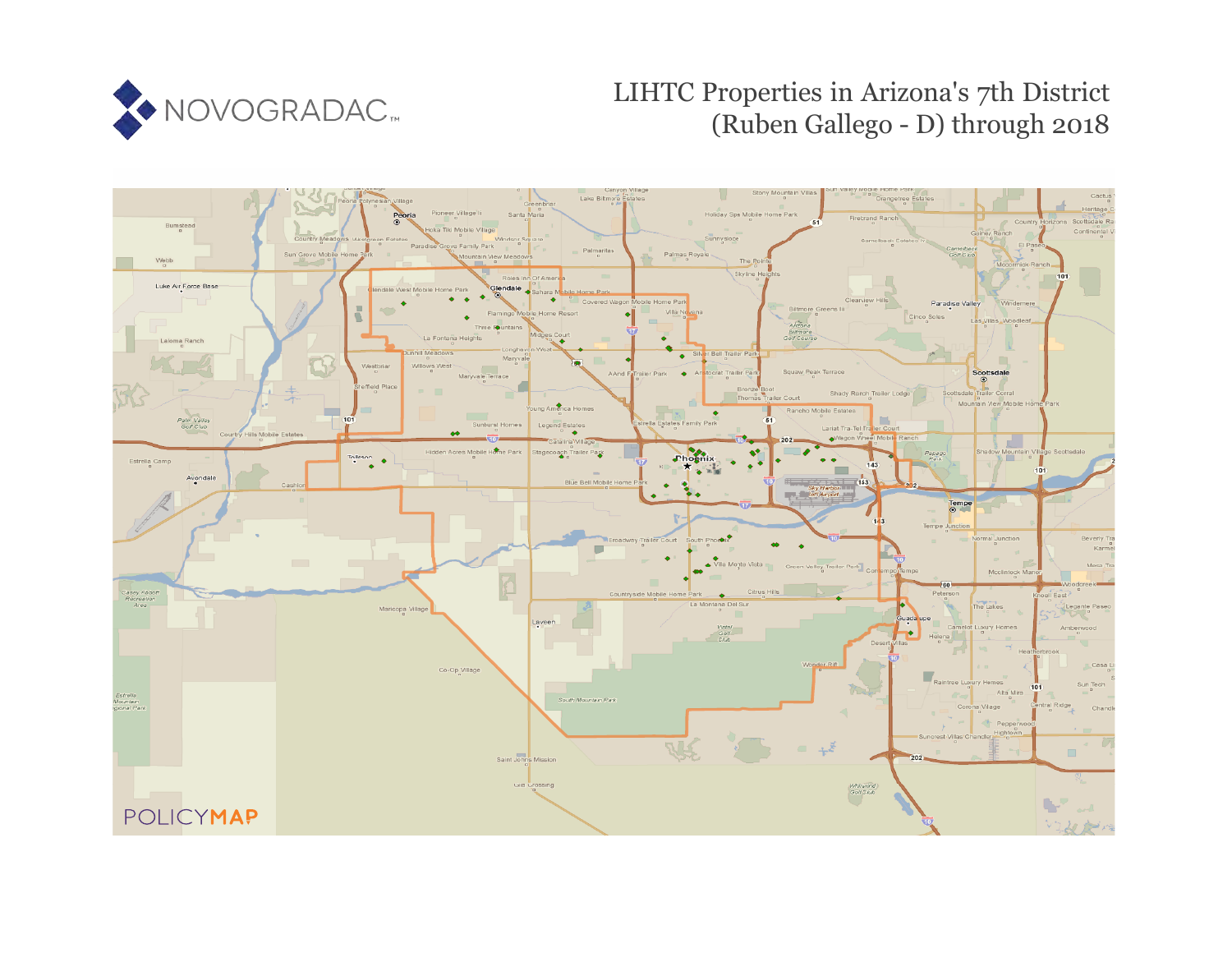

# LIHTC Properties in Arizona's 7th District (Ruben Gallego - D) through 2018

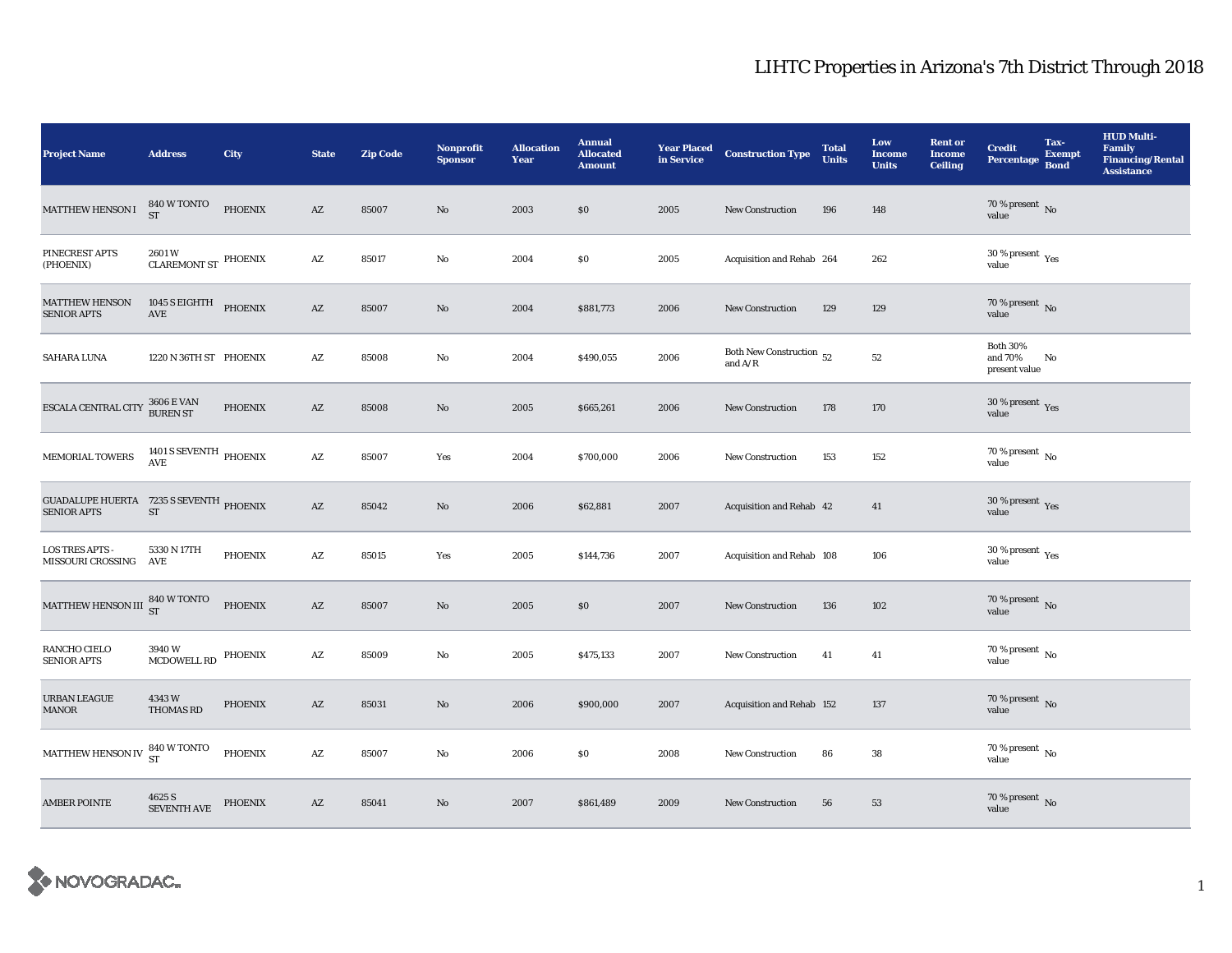| <b>Project Name</b>                                                  | <b>Address</b>                   | City           | <b>State</b>           | <b>Zip Code</b> | <b>Nonprofit</b><br><b>Sponsor</b> | <b>Allocation</b><br>Year | <b>Annual</b><br><b>Allocated</b><br><b>Amount</b> | <b>Year Placed</b><br>in Service | <b>Construction Type</b>                                     | <b>Total</b><br><b>Units</b> | Low<br><b>Income</b><br><b>Units</b> | <b>Rent or</b><br><b>Income</b><br><b>Ceiling</b> | <b>Credit</b><br><b>Percentage</b>              | Tax-<br><b>Exempt</b><br><b>Bond</b> | <b>HUD Multi-</b><br><b>Family</b><br><b>Financing/Rental</b><br><b>Assistance</b> |
|----------------------------------------------------------------------|----------------------------------|----------------|------------------------|-----------------|------------------------------------|---------------------------|----------------------------------------------------|----------------------------------|--------------------------------------------------------------|------------------------------|--------------------------------------|---------------------------------------------------|-------------------------------------------------|--------------------------------------|------------------------------------------------------------------------------------|
| <b>MATTHEW HENSON I</b>                                              | 840 W TONTO<br><b>ST</b>         | PHOENIX        | AZ                     | 85007           | $\mathbf{No}$                      | 2003                      | \$0                                                | 2005                             | <b>New Construction</b>                                      | 196                          | 148                                  |                                                   | $70$ % present $\,$ No value                    |                                      |                                                                                    |
| PINECREST APTS<br>(PHOENIX)                                          | 2601W<br>CLAREMONT ST PHOENIX    |                | $\mathbf{A}\mathbf{Z}$ | 85017           | $\rm No$                           | 2004                      | $\$0$                                              | 2005                             | Acquisition and Rehab 264                                    |                              | 262                                  |                                                   | $30\,\%$ present $\rm\thinspace_{Yes}$<br>value |                                      |                                                                                    |
| <b>MATTHEW HENSON</b><br><b>SENIOR APTS</b>                          | 1045 S EIGHTH<br>AVE             | PHOENIX        | $\mathbf{A}\mathbf{Z}$ | 85007           | $\mathbf{N}\mathbf{o}$             | 2004                      | \$881,773                                          | 2006                             | New Construction                                             | 129                          | 129                                  |                                                   | $70$ % present $\,$ No value                    |                                      |                                                                                    |
| SAHARA LUNA                                                          | 1220 N 36TH ST PHOENIX           |                | $\mathbf{A}\mathbf{Z}$ | 85008           | No                                 | 2004                      | \$490,055                                          | 2006                             | Both New Construction $\,$ 52<br>and $\mathrm{A}/\mathrm{R}$ |                              | ${\bf 52}$                           |                                                   | <b>Both 30%</b><br>and 70%<br>present value     | No                                   |                                                                                    |
| ESCALA CENTRAL CITY                                                  | $3606 \to \mathrm{VAN}$ BUREN ST | PHOENIX        | $\mathbf{A}\mathbf{Z}$ | 85008           | No                                 | 2005                      | \$665,261                                          | 2006                             | <b>New Construction</b>                                      | 178                          | 170                                  |                                                   | $30\,\%$ present $\,$ Yes value                 |                                      |                                                                                    |
| MEMORIAL TOWERS                                                      | 1401 S SEVENTH PHOENIX AVE       |                | $\mathbf{A}\mathbf{Z}$ | 85007           | Yes                                | 2004                      | \$700,000                                          | 2006                             | <b>New Construction</b>                                      | 153                          | 152                                  |                                                   | $70$ % present $\,$ No value                    |                                      |                                                                                    |
| <b>GUADALUPE HUERTA</b> 7235 S SEVENTH PHOENIX<br><b>SENIOR APTS</b> | ST                               |                | AZ                     | 85042           | $\mathbf{N}\mathbf{o}$             | 2006                      | \$62,881                                           | 2007                             | Acquisition and Rehab 42                                     |                              | 41                                   |                                                   | $30\,\%$ present $\,$ Yes value                 |                                      |                                                                                    |
| <b>LOS TRES APTS -</b><br>MISSOURI CROSSING                          | 5330 N 17TH<br>AVE               | <b>PHOENIX</b> | AZ                     | 85015           | Yes                                | 2005                      | \$144,736                                          | 2007                             | Acquisition and Rehab 108                                    |                              | 106                                  |                                                   | $30\,\%$ present $\,$ Yes value                 |                                      |                                                                                    |
| MATTHEW HENSON III                                                   | $\frac{1}{100}$ 840 W TONTO      | <b>PHOENIX</b> | AZ                     | 85007           | $\mathbf{No}$                      | 2005                      | \$0                                                | 2007                             | <b>New Construction</b>                                      | 136                          | 102                                  |                                                   | 70 % present $\,$ No $\,$<br>value              |                                      |                                                                                    |
| RANCHO CIELO<br><b>SENIOR APTS</b>                                   | 3940W<br>MCDOWELL RD             | <b>PHOENIX</b> | $\mathbf{A}\mathbf{Z}$ | 85009           | No                                 | 2005                      | \$475,133                                          | 2007                             | New Construction                                             | 41                           | 41                                   |                                                   | $70$ % present $\,$ No $\,$<br>value            |                                      |                                                                                    |
| URBAN LEAGUE<br><b>MANOR</b>                                         | 4343W<br><b>THOMAS RD</b>        | <b>PHOENIX</b> | AZ                     | 85031           | $\rm No$                           | 2006                      | \$900,000                                          | 2007                             | Acquisition and Rehab 152                                    |                              | 137                                  |                                                   | $70\,\%$ present $\,$ No value                  |                                      |                                                                                    |
| MATTHEW HENSON IV                                                    | 840 W TONTO<br><b>ST</b>         | PHOENIX        | $\mathbf{A}\mathbf{Z}$ | 85007           | No                                 | 2006                      | \$0                                                | 2008                             | <b>New Construction</b>                                      | 86                           | 38                                   |                                                   | 70 % present $\hbox{~No}$<br>value              |                                      |                                                                                    |
| <b>AMBER POINTE</b>                                                  | 4625 S<br><b>SEVENTH AVE</b>     | <b>PHOENIX</b> | $\mathbf{A}\mathbf{Z}$ | 85041           | No                                 | 2007                      | \$861,489                                          | 2009                             | New Construction                                             | 56                           | 53                                   |                                                   | $70$ % present $\,$ No value                    |                                      |                                                                                    |

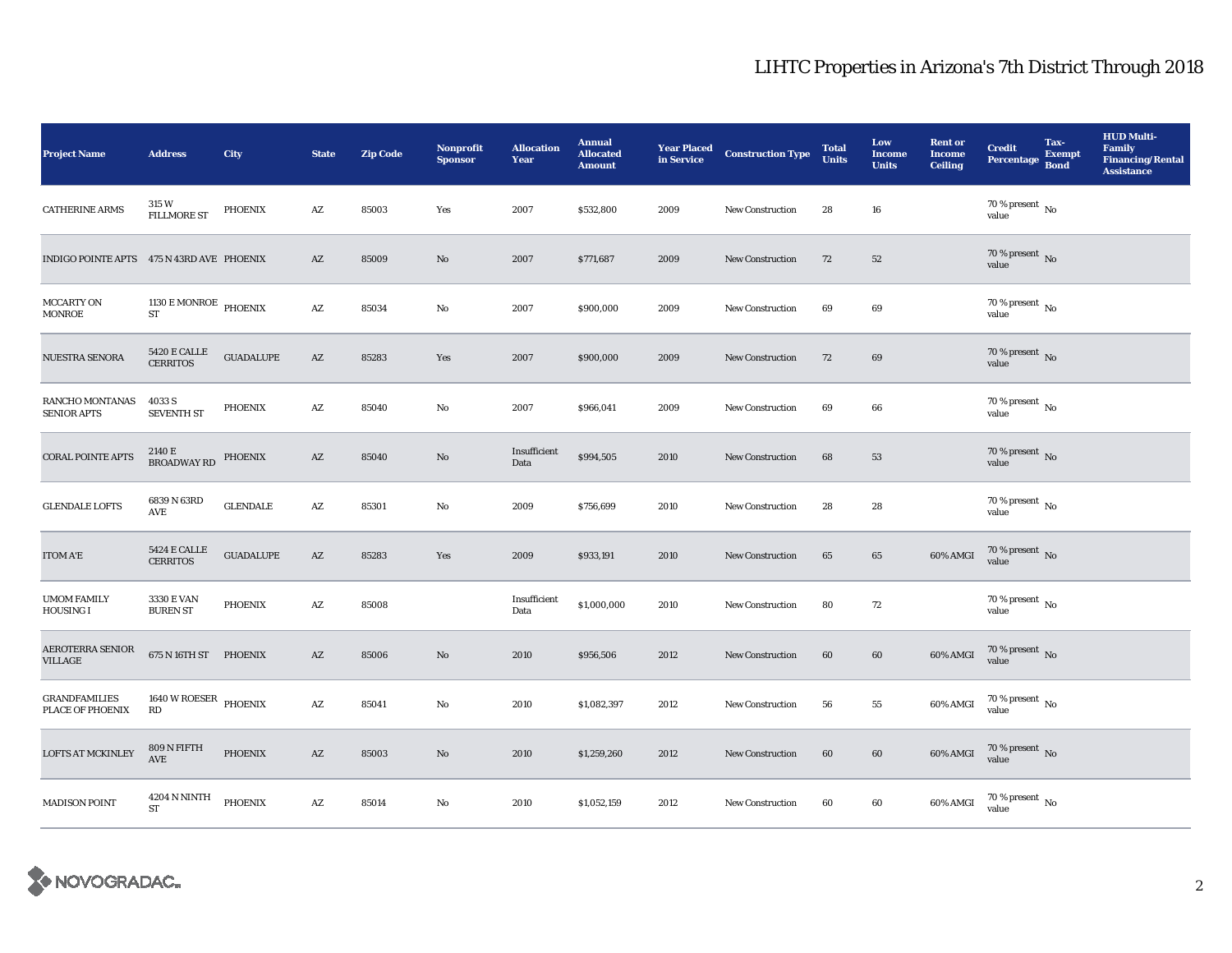| <b>Project Name</b>                          | <b>Address</b>                         | City             | <b>State</b>           | <b>Zip Code</b> | <b>Nonprofit</b><br><b>Sponsor</b> | <b>Allocation</b><br>Year | <b>Annual</b><br><b>Allocated</b><br><b>Amount</b> | <b>Year Placed</b><br>in Service | <b>Construction Type</b> | <b>Total</b><br><b>Units</b> | Low<br><b>Income</b><br><b>Units</b> | <b>Rent or</b><br><b>Income</b><br>Ceiling | <b>Credit</b><br>Percentage Bond     | Tax-<br><b>Exempt</b> | <b>HUD Multi-</b><br><b>Family</b><br><b>Financing/Rental</b><br><b>Assistance</b> |
|----------------------------------------------|----------------------------------------|------------------|------------------------|-----------------|------------------------------------|---------------------------|----------------------------------------------------|----------------------------------|--------------------------|------------------------------|--------------------------------------|--------------------------------------------|--------------------------------------|-----------------------|------------------------------------------------------------------------------------|
| <b>CATHERINE ARMS</b>                        | 315W<br><b>FILLMORE ST</b>             | PHOENIX          | $\mathbf{A}\mathbf{Z}$ | 85003           | Yes                                | 2007                      | \$532,800                                          | 2009                             | <b>New Construction</b>  | 28                           | 16                                   |                                            | $70$ % present $\,$ No $\,$<br>value |                       |                                                                                    |
| INDIGO POINTE APTS 475 N 43RD AVE PHOENIX    |                                        |                  | AZ                     | 85009           | No                                 | 2007                      | \$771,687                                          | 2009                             | <b>New Construction</b>  | 72                           | 52                                   |                                            | $70$ % present $\,$ No value         |                       |                                                                                    |
| <b>MCCARTY ON</b><br><b>MONROE</b>           | $1130$ E MONROE PHOENIX<br><b>ST</b>   |                  | $\mathbf{A}\mathbf{Z}$ | 85034           | No                                 | 2007                      | \$900,000                                          | 2009                             | <b>New Construction</b>  | 69                           | 69                                   |                                            | 70 % present $\,$ No $\,$<br>value   |                       |                                                                                    |
| NUESTRA SENORA                               | $5420\to$ CALLE<br><b>CERRITOS</b>     | <b>GUADALUPE</b> | $\mathbf{A}\mathbf{Z}$ | 85283           | Yes                                | 2007                      | \$900,000                                          | 2009                             | New Construction         | $72\,$                       | $\bf{69}$                            |                                            | $70$ % present $\,$ No value         |                       |                                                                                    |
| <b>RANCHO MONTANAS</b><br><b>SENIOR APTS</b> | 4033 S<br><b>SEVENTH ST</b>            | <b>PHOENIX</b>   | $\mathbf{A}\mathbf{Z}$ | 85040           | No                                 | 2007                      | \$966,041                                          | 2009                             | <b>New Construction</b>  | 69                           | 66                                   |                                            | 70 % present $\,$ No $\,$<br>value   |                       |                                                                                    |
| <b>CORAL POINTE APTS</b>                     | 2140 E<br>BROADWAY RD                  | <b>PHOENIX</b>   | AZ                     | 85040           | $\mathbf{N}\mathbf{o}$             | Insufficient<br>Data      | \$994,505                                          | 2010                             | <b>New Construction</b>  | 68                           | 53                                   |                                            | $70$ % present $\,$ No value         |                       |                                                                                    |
| <b>GLENDALE LOFTS</b>                        | 6839 N 63RD<br>AVE                     | <b>GLENDALE</b>  | AZ                     | 85301           | No                                 | 2009                      | \$756,699                                          | 2010                             | <b>New Construction</b>  | 28                           | 28                                   |                                            | 70 % present $\,$ No $\,$<br>value   |                       |                                                                                    |
| <b>ITOM A'E</b>                              | <b>5424 E CALLE</b><br><b>CERRITOS</b> | <b>GUADALUPE</b> | $\mathbf{A}\mathbf{Z}$ | 85283           | Yes                                | 2009                      | \$933,191                                          | 2010                             | New Construction         | 65                           | 65                                   | 60% AMGI                                   | $70\%$ present No<br>value           |                       |                                                                                    |
| <b>UMOM FAMILY</b><br><b>HOUSING I</b>       | 3330 E VAN<br><b>BUREN ST</b>          | <b>PHOENIX</b>   | AZ                     | 85008           |                                    | Insufficient<br>Data      | \$1,000,000                                        | 2010                             | New Construction         | 80                           | 72                                   |                                            | $70$ % present $\,$ No $\,$<br>value |                       |                                                                                    |
| <b>AEROTERRA SENIOR</b><br><b>VILLAGE</b>    | 675 N 16TH ST PHOENIX                  |                  | $\mathbf{A}\mathbf{Z}$ | 85006           | $\mathbf{N}\mathbf{o}$             | 2010                      | \$956,506                                          | 2012                             | <b>New Construction</b>  | 60                           | 60                                   | 60% AMGI                                   | $70\,\%$ present $\,$ No value       |                       |                                                                                    |
| <b>GRANDFAMILIES</b><br>PLACE OF PHOENIX     | 1640 W ROESER PHOENIX<br>RD            |                  | $\mathbf{A}\mathbf{Z}$ | 85041           | No                                 | 2010                      | \$1,082,397                                        | 2012                             | <b>New Construction</b>  | 56                           | 55                                   | 60% AMGI                                   | 70 % present $\,$ No $\,$<br>value   |                       |                                                                                    |
| <b>LOFTS AT MCKINLEY</b>                     | 809 N FIFTH<br>$\operatorname{AVE}$    | <b>PHOENIX</b>   | AZ                     | 85003           | No                                 | 2010                      | \$1,259,260                                        | 2012                             | <b>New Construction</b>  | 60                           | 60                                   | 60% AMGI                                   | $70\,\%$ present $\,$ No value       |                       |                                                                                    |
| <b>MADISON POINT</b>                         | 4204 N NINTH<br><b>ST</b>              | <b>PHOENIX</b>   | $\mathbf{A}\mathbf{Z}$ | 85014           | $\mathbf{N}\mathbf{o}$             | 2010                      | \$1,052,159                                        | 2012                             | <b>New Construction</b>  | 60                           | 60                                   | 60% AMGI                                   | $70\,\%$ present $\,$ No value       |                       |                                                                                    |

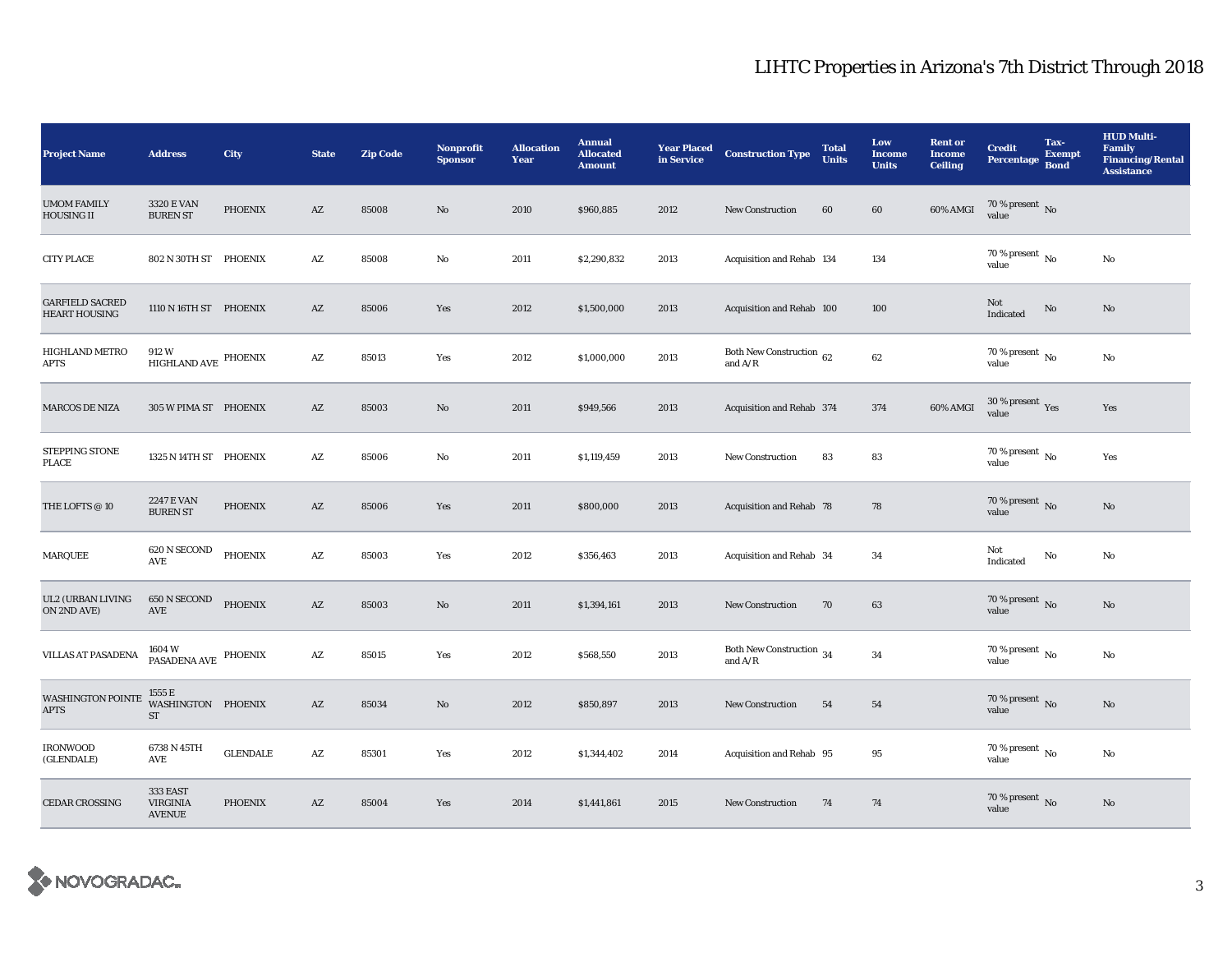| <b>Project Name</b>                            | <b>Address</b>                               | City            | <b>State</b>           | <b>Zip Code</b> | <b>Nonprofit</b><br><b>Sponsor</b> | <b>Allocation</b><br>Year | <b>Annual</b><br><b>Allocated</b><br><b>Amount</b> | <b>Year Placed<br/>in Service</b> | <b>Construction Type</b>                   | <b>Total</b><br><b>Units</b> | Low<br><b>Income</b><br><b>Units</b> | <b>Rent or</b><br><b>Income</b><br><b>Ceiling</b> | <b>Credit</b><br>Percentage Bond       | Tax-<br><b>Exempt</b> | <b>HUD Multi-</b><br><b>Family</b><br><b>Financing/Rental</b><br><b>Assistance</b> |
|------------------------------------------------|----------------------------------------------|-----------------|------------------------|-----------------|------------------------------------|---------------------------|----------------------------------------------------|-----------------------------------|--------------------------------------------|------------------------------|--------------------------------------|---------------------------------------------------|----------------------------------------|-----------------------|------------------------------------------------------------------------------------|
| <b>UMOM FAMILY</b><br><b>HOUSING II</b>        | 3320 E VAN<br><b>BUREN ST</b>                | <b>PHOENIX</b>  | $\mathbf{A}\mathbf{Z}$ | 85008           | No                                 | 2010                      | \$960,885                                          | 2012                              | <b>New Construction</b>                    | 60                           | 60                                   | 60% AMGI                                          | $70\,\%$ present $\,$ No value         |                       |                                                                                    |
| <b>CITY PLACE</b>                              | 802 N 30TH ST PHOENIX                        |                 | $\mathbf{A}\mathbf{Z}$ | 85008           | No                                 | 2011                      | \$2,290,832                                        | 2013                              | Acquisition and Rehab 134                  |                              | 134                                  |                                                   | 70 % present $\,$ No $\,$<br>value     |                       | No                                                                                 |
| <b>GARFIELD SACRED</b><br><b>HEART HOUSING</b> | 1110 N 16TH ST PHOENIX                       |                 | $\mathbf{A}\mathbf{Z}$ | 85006           | Yes                                | 2012                      | \$1,500,000                                        | 2013                              | Acquisition and Rehab 100                  |                              | 100                                  |                                                   | Not<br>Indicated                       | $\rm No$              | $\mathbf{N}\mathbf{o}$                                                             |
| HIGHLAND METRO<br><b>APTS</b>                  | 912 W<br>$\,$ HIGHLAND AVE $\,$ PHOENIX      |                 | AZ                     | 85013           | Yes                                | 2012                      | \$1,000,000                                        | 2013                              | Both New Construction $\,$ 62<br>and $A/R$ |                              | 62                                   |                                                   | 70 % present $\,$ No $\,$<br>value     |                       | No                                                                                 |
| <b>MARCOS DE NIZA</b>                          | 305 W PIMA ST PHOENIX                        |                 | $\mathbf{A}\mathbf{Z}$ | 85003           | No                                 | 2011                      | \$949,566                                          | 2013                              | Acquisition and Rehab 374                  |                              | 374                                  | 60% AMGI                                          | $30\,\%$ present $\,$ Yes value        |                       | Yes                                                                                |
| STEPPING STONE<br><b>PLACE</b>                 | 1325 N 14TH ST PHOENIX                       |                 | $\mathbf{A}\mathbf{Z}$ | 85006           | No                                 | 2011                      | \$1,119,459                                        | 2013                              | New Construction                           | 83                           | 83                                   |                                                   | 70 % present $\,$ No $\,$<br>value     |                       | Yes                                                                                |
| THE LOFTS $\oslash$ 10                         | <b>2247 E VAN</b><br><b>BUREN ST</b>         | PHOENIX         | $\mathbf{A}\mathbf{Z}$ | 85006           | Yes                                | 2011                      | \$800,000                                          | 2013                              | Acquisition and Rehab 78                   |                              | 78                                   |                                                   | 70 % present $\,$ No $\,$<br>value     |                       | $\rm No$                                                                           |
| <b>MARQUEE</b>                                 | 620 N SECOND<br>$\operatorname{AVE}$         | PHOENIX         | $\mathbf{A}\mathbf{Z}$ | 85003           | Yes                                | 2012                      | \$356,463                                          | 2013                              | Acquisition and Rehab 34                   |                              | 34                                   |                                                   | Not<br>Indicated                       | No                    | No                                                                                 |
| <b>UL2 (URBAN LIVING</b><br>ON 2ND AVE)        | $650\,\mathrm{N}\,\mathrm{SECOND}$<br>AVE    | <b>PHOENIX</b>  | $\mathbf{A}\mathbf{Z}$ | 85003           | No                                 | 2011                      | \$1,394,161                                        | 2013                              | New Construction                           | 70                           | 63                                   |                                                   | 70 % present $\,$ No $\,$<br>value     |                       | No                                                                                 |
| VILLAS AT PASADENA                             | 1604 W<br>PASADENA AVE PHOENIX               |                 | AZ                     | 85015           | Yes                                | 2012                      | \$568,550                                          | 2013                              | Both New Construction 34<br>and $A/R$      |                              | 34                                   |                                                   | $70\,\%$ present $\,$ No $\,$<br>value |                       | No                                                                                 |
| <b>WASHINGTON POINTE</b><br><b>APTS</b>        | 1555 E<br>WASHINGTON PHOENIX<br><b>ST</b>    |                 | $\mathbf{A}\mathbf{Z}$ | 85034           | No                                 | 2012                      | \$850,897                                          | 2013                              | New Construction                           | 54                           | 54                                   |                                                   | $70\,\%$ present $\,$ No value         |                       | $\mathbf{N}\mathbf{o}$                                                             |
| <b>IRONWOOD</b><br>(GLENDALE)                  | 6738 N 45TH<br>$\operatorname{AVE}$          | <b>GLENDALE</b> | $\mathbf{A}\mathbf{Z}$ | 85301           | Yes                                | 2012                      | \$1,344,402                                        | 2014                              | Acquisition and Rehab 95                   |                              | 95                                   |                                                   | $70$ % present $\,$ No $\,$<br>value   |                       | No                                                                                 |
| <b>CEDAR CROSSING</b>                          | 333 EAST<br><b>VIRGINIA</b><br><b>AVENUE</b> | <b>PHOENIX</b>  | $\mathbf{A}\mathbf{Z}$ | 85004           | Yes                                | 2014                      | \$1,441,861                                        | 2015                              | <b>New Construction</b>                    | 74                           | 74                                   |                                                   | $70\,\%$ present $\,$ No value         |                       | No                                                                                 |

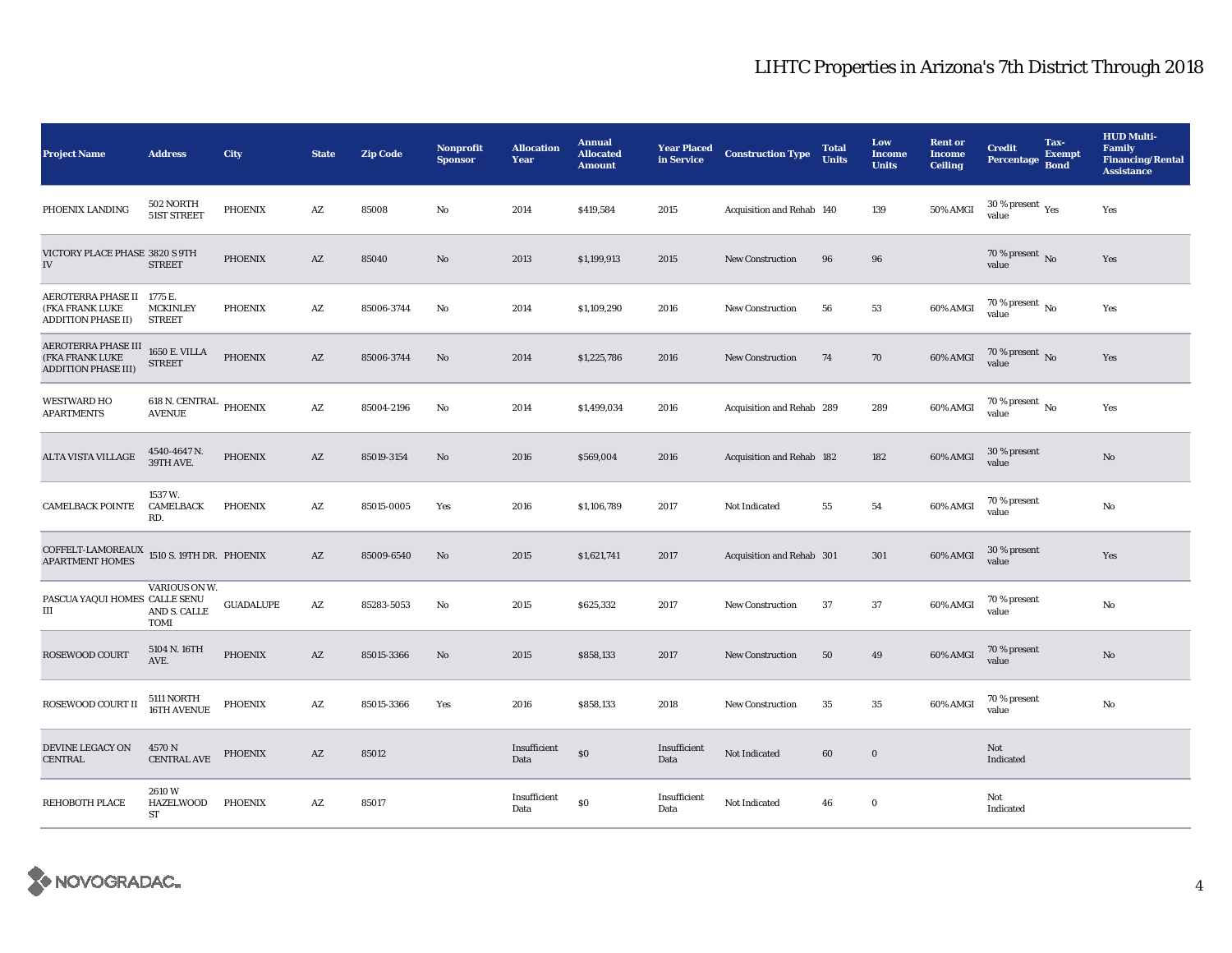| <b>Project Name</b>                                                   | <b>Address</b>                                 | City             | <b>State</b>           | <b>Zip Code</b> | <b>Nonprofit</b><br><b>Sponsor</b> | <b>Allocation</b><br>Year | <b>Annual</b><br><b>Allocated</b><br><b>Amount</b> | <b>Year Placed</b><br>in Service | <b>Construction Type</b>  | <b>Total</b><br><b>Units</b> | Low<br><b>Income</b><br><b>Units</b> | <b>Rent or</b><br><b>Income</b><br><b>Ceiling</b> | <b>Credit</b><br>Percentage                 | Tax-<br><b>Exempt</b><br><b>Bond</b> | <b>HUD Multi-</b><br>Family<br><b>Financing/Rental</b><br><b>Assistance</b> |
|-----------------------------------------------------------------------|------------------------------------------------|------------------|------------------------|-----------------|------------------------------------|---------------------------|----------------------------------------------------|----------------------------------|---------------------------|------------------------------|--------------------------------------|---------------------------------------------------|---------------------------------------------|--------------------------------------|-----------------------------------------------------------------------------|
| PHOENIX LANDING                                                       | 502 NORTH<br>51ST STREET                       | <b>PHOENIX</b>   | $\mathbf{A}\mathbf{Z}$ | 85008           | No                                 | 2014                      | \$419,584                                          | 2015                             | Acquisition and Rehab 140 |                              | 139                                  | 50% AMGI                                          | 30 % present $\rm \gamma_{\rm es}$<br>value |                                      | Yes                                                                         |
| VICTORY PLACE PHASE 3820 S 9TH<br>${\rm IV}$                          | <b>STREET</b>                                  | PHOENIX          | $\mathbf{A}\mathbf{Z}$ | 85040           | $\mathbf{No}$                      | 2013                      | \$1,199,913                                        | 2015                             | New Construction          | 96                           | 96                                   |                                                   | 70 % present $\overline{N_0}$<br>value      |                                      | Yes                                                                         |
| AEROTERRA PHASE II<br>(FKA FRANK LUKE<br><b>ADDITION PHASE II)</b>    | 1775 E.<br><b>MCKINLEY</b><br><b>STREET</b>    | <b>PHOENIX</b>   | $\mathbf{A}\mathbf{Z}$ | 85006-3744      | No                                 | 2014                      | \$1,109,290                                        | 2016                             | <b>New Construction</b>   | 56                           | 53                                   | 60% AMGI                                          | 70 % present $\,$ No $\,$<br>value          |                                      | Yes                                                                         |
| AEROTERRA PHASE III<br>(FKA FRANK LUKE<br><b>ADDITION PHASE III)</b>  | <b>1650 E. VILLA</b><br><b>STREET</b>          | <b>PHOENIX</b>   | $\mathbf{A}\mathbf{Z}$ | 85006-3744      | No                                 | 2014                      | \$1,225,786                                        | 2016                             | <b>New Construction</b>   | 74                           | 70                                   | 60% AMGI                                          | 70 % present $\overline{N_0}$<br>value      |                                      | Yes                                                                         |
| <b>WESTWARD HO</b><br><b>APARTMENTS</b>                               | $618$ N. CENTRAL $\,$ PHOENIX<br><b>AVENUE</b> |                  | AZ                     | 85004-2196      | No                                 | 2014                      | \$1,499,034                                        | 2016                             | Acquisition and Rehab 289 |                              | 289                                  | 60% AMGI                                          | 70 % present $\overline{N_0}$<br>value      |                                      | Yes                                                                         |
| <b>ALTA VISTA VILLAGE</b>                                             | 4540-4647 N.<br>39TH AVE.                      | <b>PHOENIX</b>   | AZ                     | 85019-3154      | No                                 | 2016                      | \$569,004                                          | 2016                             | Acquisition and Rehab 182 |                              | 182                                  | 60% AMGI                                          | 30 % present<br>value                       |                                      | $\mathbf{No}$                                                               |
| <b>CAMELBACK POINTE</b>                                               | 1537 W.<br>CAMELBACK<br>RD.                    | <b>PHOENIX</b>   | AZ                     | 85015-0005      | Yes                                | 2016                      | \$1,106,789                                        | 2017                             | Not Indicated             | 55                           | 54                                   | 60% AMGI                                          | 70 % present<br>value                       |                                      | No                                                                          |
| $\textsc{COFFELT-LAMOREAUX}$ 1510 S. 19TH DR. PHOENIX APARTMENT HOMES |                                                |                  | AZ                     | 85009-6540      | No                                 | 2015                      | \$1,621,741                                        | 2017                             | Acquisition and Rehab 301 |                              | 301                                  | 60% AMGI                                          | 30 % present<br>value                       |                                      | Yes                                                                         |
| PASCUA YAQUI HOMES CALLE SENU<br>$\rm III$                            | VARIOUS ON W.<br>AND S. CALLE<br><b>TOMI</b>   | <b>GUADALUPE</b> | $\mathbf{A}\mathbf{Z}$ | 85283-5053      | No                                 | 2015                      | \$625,332                                          | 2017                             | New Construction          | 37                           | 37                                   | 60% AMGI                                          | 70 % present<br>value                       |                                      | No                                                                          |
| <b>ROSEWOOD COURT</b>                                                 | 5104 N. 16TH<br>AVE.                           | <b>PHOENIX</b>   | $\mathbf{A}\mathbf{Z}$ | 85015-3366      | $\mathbf{N}\mathbf{o}$             | 2015                      | \$858,133                                          | 2017                             | New Construction          | 50                           | 49                                   | 60% AMGI                                          | 70 % present<br>value                       |                                      | $\mathbf{No}$                                                               |
| ROSEWOOD COURT II                                                     | 5111 NORTH<br>16TH AVENUE                      | <b>PHOENIX</b>   | $\mathbf{A}\mathbf{Z}$ | 85015-3366      | Yes                                | 2016                      | \$858,133                                          | 2018                             | <b>New Construction</b>   | 35                           | 35                                   | 60% AMGI                                          | 70 % present<br>value                       |                                      | No                                                                          |
| DEVINE LEGACY ON<br><b>CENTRAL</b>                                    | 4570 N<br><b>CENTRAL AVE</b>                   | PHOENIX          | $\mathbf{A}\mathbf{Z}$ | 85012           |                                    | Insufficient<br>Data      | \$0                                                | Insufficient<br>Data             | Not Indicated             | 60                           | $\bf{0}$                             |                                                   | Not<br>Indicated                            |                                      |                                                                             |
| <b>REHOBOTH PLACE</b>                                                 | 2610W<br><b>HAZELWOOD</b><br>ST                | PHOENIX          | AZ                     | 85017           |                                    | Insufficient<br>Data      | \$0                                                | Insufficient<br>Data             | Not Indicated             | 46                           | $\bf{0}$                             |                                                   | Not<br>Indicated                            |                                      |                                                                             |

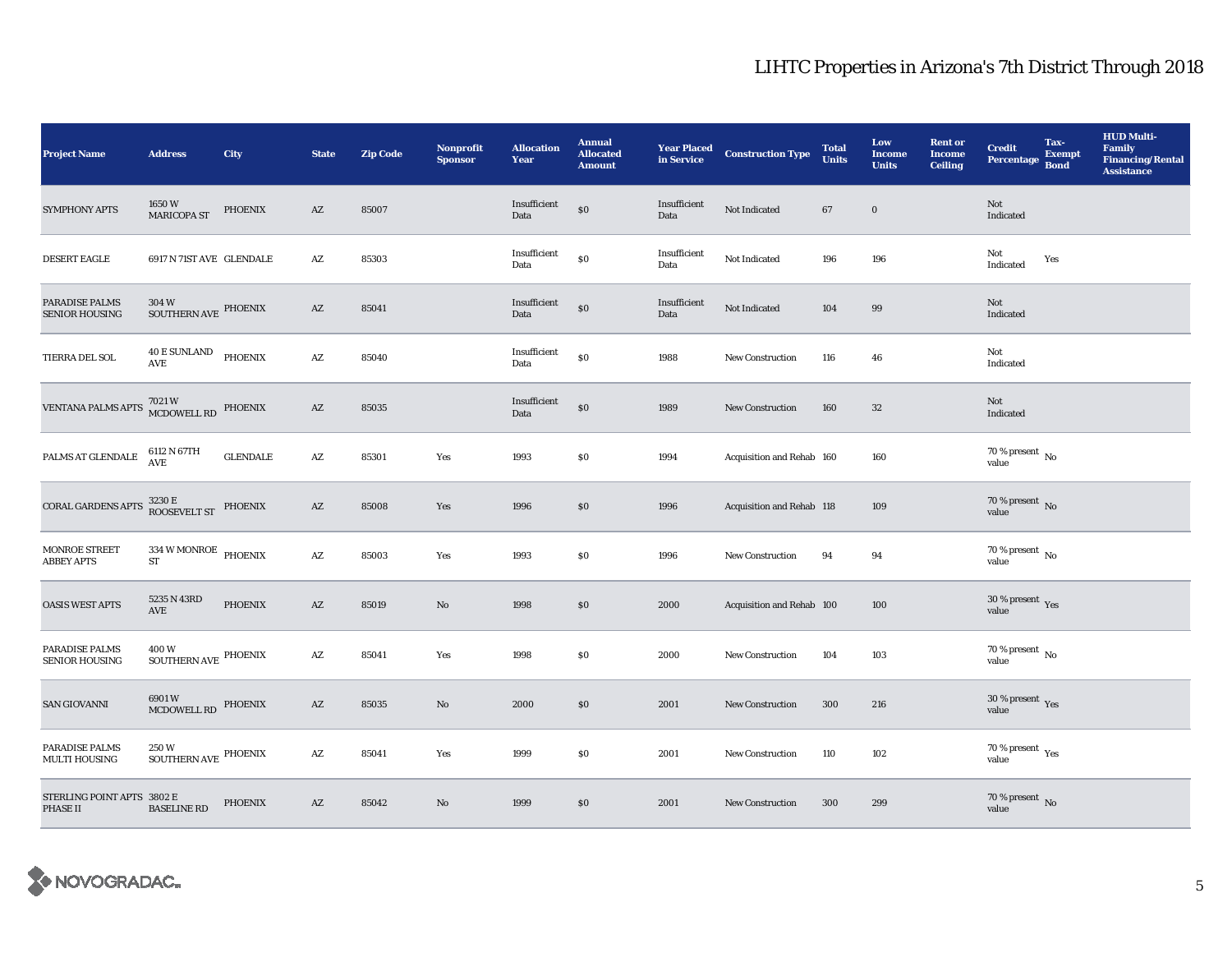| <b>Project Name</b>                            | <b>Address</b>                                          | City            | <b>State</b>           | <b>Zip Code</b> | <b>Nonprofit</b><br><b>Sponsor</b> | <b>Allocation</b><br>Year | <b>Annual</b><br><b>Allocated</b><br><b>Amount</b> | <b>Year Placed</b><br>in Service | <b>Construction Type</b>  | <b>Total</b><br><b>Units</b> | Low<br><b>Income</b><br><b>Units</b> | <b>Rent or</b><br><b>Income</b><br><b>Ceiling</b> | <b>Credit</b><br>Percentage              | Tax-<br><b>Exempt</b><br><b>Bond</b> | <b>HUD Multi-</b><br><b>Family</b><br><b>Financing/Rental</b><br><b>Assistance</b> |
|------------------------------------------------|---------------------------------------------------------|-----------------|------------------------|-----------------|------------------------------------|---------------------------|----------------------------------------------------|----------------------------------|---------------------------|------------------------------|--------------------------------------|---------------------------------------------------|------------------------------------------|--------------------------------------|------------------------------------------------------------------------------------|
| SYMPHONY APTS                                  | 1650W<br><b>MARICOPA ST</b>                             | PHOENIX         | AZ                     | 85007           |                                    | Insufficient<br>Data      | \$0                                                | Insufficient<br>Data             | Not Indicated             | 67                           | $\bf{0}$                             |                                                   | Not<br>Indicated                         |                                      |                                                                                    |
| DESERT EAGLE                                   | 6917 N 71ST AVE GLENDALE                                |                 | $\mathbf{A}\mathbf{Z}$ | 85303           |                                    | Insufficient<br>Data      | $\$0$                                              | Insufficient<br>Data             | Not Indicated             | 196                          | 196                                  |                                                   | Not<br>Indicated                         | Yes                                  |                                                                                    |
| <b>PARADISE PALMS</b><br><b>SENIOR HOUSING</b> | 304W<br>SOUTHERN AVE PHOENIX                            |                 | AZ                     | 85041           |                                    | Insufficient<br>Data      | $\$0$                                              | Insufficient<br>Data             | Not Indicated             | 104                          | 99                                   |                                                   | Not<br>Indicated                         |                                      |                                                                                    |
| TIERRA DEL SOL                                 | <b>40 E SUNLAND</b><br>$\mathbf{A}\mathbf{V}\mathbf{E}$ | PHOENIX         | $\mathbf{A}\mathbf{Z}$ | 85040           |                                    | Insufficient<br>Data      | \$0                                                | 1988                             | <b>New Construction</b>   | 116                          | 46                                   |                                                   | Not<br>Indicated                         |                                      |                                                                                    |
| VENTANA PALMS APTS                             | 7021 W<br>MCDOWELL RD                                   | PHOENIX         | $\mathbf{A}\mathbf{Z}$ | 85035           |                                    | Insufficient<br>Data      | \$0                                                | 1989                             | <b>New Construction</b>   | 160                          | ${\bf 32}$                           |                                                   | Not<br>Indicated                         |                                      |                                                                                    |
| PALMS AT GLENDALE                              | 6112 N 67TH<br>AVE                                      | <b>GLENDALE</b> | $\mathbf{A}\mathbf{Z}$ | 85301           | Yes                                | 1993                      | \$0                                                | 1994                             | Acquisition and Rehab 160 |                              | 160                                  |                                                   | 70 % present $\,$ No $\,$<br>value       |                                      |                                                                                    |
| CORAL GARDENS APTS                             | $3230\,\mathrm{E}$ PHOENIX ROOSEVELT ST                 |                 | AZ                     | 85008           | Yes                                | 1996                      | \$0                                                | 1996                             | Acquisition and Rehab 118 |                              | 109                                  |                                                   | $70$ % present $\,$ No value             |                                      |                                                                                    |
| MONROE STREET<br><b>ABBEY APTS</b>             | $334\,\rm{W}$ MONROE PHOENIX<br>ST                      |                 | $\mathbf{A}\mathbf{Z}$ | 85003           | Yes                                | 1993                      | \$0                                                | 1996                             | <b>New Construction</b>   | 94                           | 94                                   |                                                   | $70$ % present $\,$ No value             |                                      |                                                                                    |
| <b>OASIS WEST APTS</b>                         | 5235 N 43RD<br>AVE                                      | PHOENIX         | AZ                     | 85019           | No                                 | 1998                      | \$0                                                | 2000                             | Acquisition and Rehab 100 |                              | 100                                  |                                                   | 30 % present $\gamma_{\rm e s}$<br>value |                                      |                                                                                    |
| PARADISE PALMS<br><b>SENIOR HOUSING</b>        | 400W<br>$\operatorname{SOUTHERNAVE}$ PHOENIX            |                 | AZ                     | 85041           | Yes                                | 1998                      | \$0\$                                              | 2000                             | <b>New Construction</b>   | 104                          | 103                                  |                                                   | $70$ % present $\,$ No $\,$<br>value     |                                      |                                                                                    |
| <b>SAN GIOVANNI</b>                            | 6901W<br>MCDOWELL RD                                    | <b>PHOENIX</b>  | $\mathbf{A}\mathbf{Z}$ | 85035           | No                                 | 2000                      | \$0                                                | 2001                             | <b>New Construction</b>   | 300                          | 216                                  |                                                   | $30\,\%$ present $\,$ Yes value          |                                      |                                                                                    |
| PARADISE PALMS<br><b>MULTI HOUSING</b>         | 250 W<br>$\operatorname{SOUTHERNAVE}$ PHOENIX           |                 | $\mathbf{A}\mathbf{Z}$ | 85041           | Yes                                | 1999                      | \$0                                                | 2001                             | <b>New Construction</b>   | 110                          | 102                                  |                                                   | 70 % present $\rm_{Yes}$<br>value        |                                      |                                                                                    |
| STERLING POINT APTS 3802 E<br>PHASE II         | <b>BASELINE RD</b>                                      | PHOENIX         | $\mathbf{A}\mathbf{Z}$ | 85042           | No                                 | 1999                      | \$0                                                | 2001                             | <b>New Construction</b>   | 300                          | 299                                  |                                                   | $70$ % present $\,$ No value             |                                      |                                                                                    |

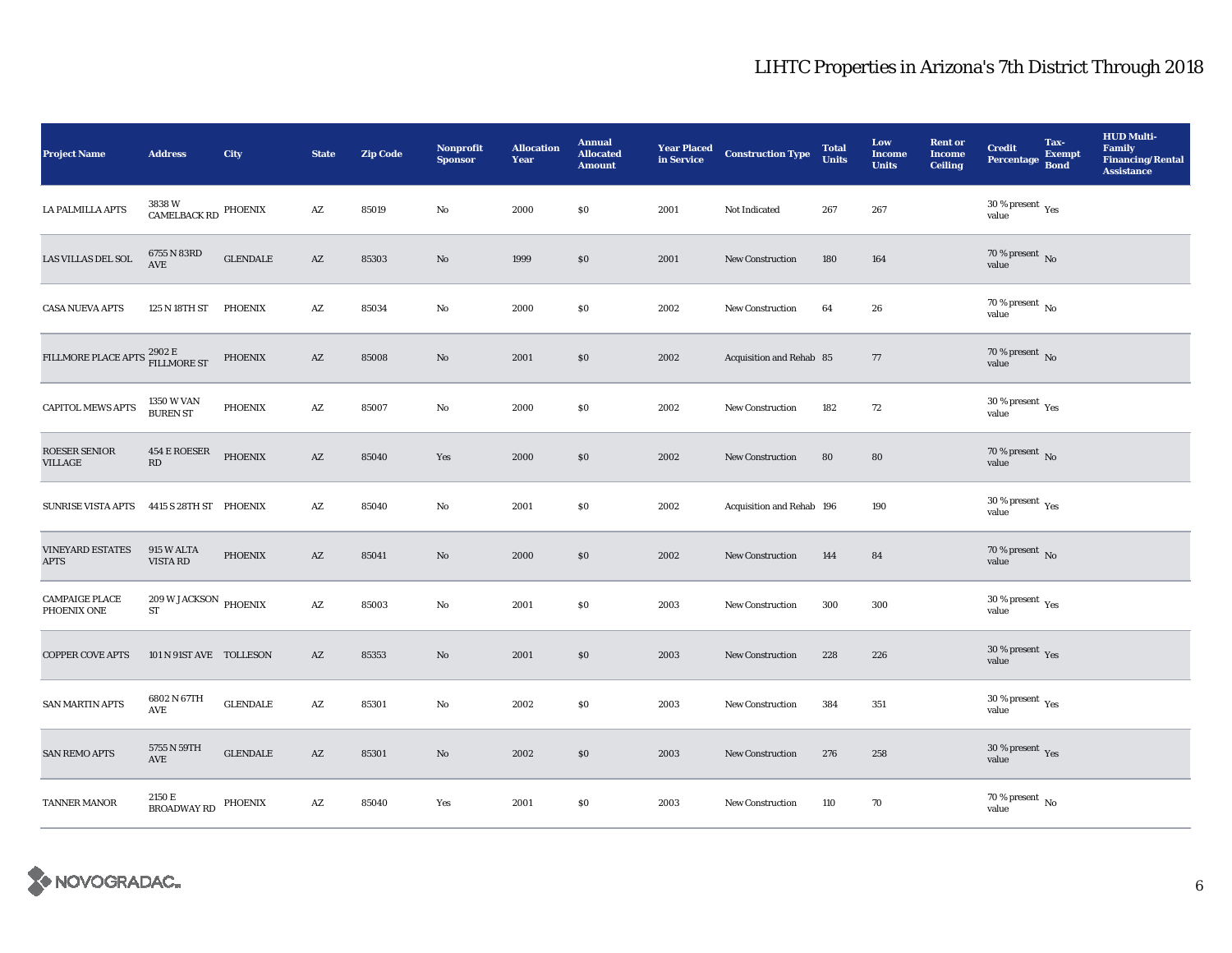| <b>Project Name</b>                                       | <b>Address</b>                               | City             | <b>State</b>           | <b>Zip Code</b> | <b>Nonprofit</b><br><b>Sponsor</b> | <b>Allocation</b><br>Year | <b>Annual</b><br><b>Allocated</b><br><b>Amount</b> | <b>Year Placed</b><br>in Service | <b>Construction Type</b>  | <b>Total</b><br><b>Units</b> | Low<br><b>Income</b><br><b>Units</b> | <b>Rent or</b><br><b>Income</b><br><b>Ceiling</b> | <b>Credit</b><br><b>Percentage</b>                        | Tax-<br><b>Exempt</b><br><b>Bond</b> | <b>HUD Multi-</b><br><b>Family</b><br><b>Financing/Rental</b><br><b>Assistance</b> |
|-----------------------------------------------------------|----------------------------------------------|------------------|------------------------|-----------------|------------------------------------|---------------------------|----------------------------------------------------|----------------------------------|---------------------------|------------------------------|--------------------------------------|---------------------------------------------------|-----------------------------------------------------------|--------------------------------------|------------------------------------------------------------------------------------|
| LA PALMILLA APTS                                          | 3838 W<br>CAMELBACK RD                       | PHOENIX          | $\mathbf{A}\mathbf{Z}$ | 85019           | No                                 | 2000                      | \$0                                                | 2001                             | Not Indicated             | 267                          | 267                                  |                                                   | 30 % present $\rm_{Yes}$<br>value                         |                                      |                                                                                    |
| LAS VILLAS DEL SOL                                        | 6755 N 83RD<br>AVE                           | <b>GLENDALE</b>  | $\mathbf{A}\mathbf{Z}$ | 85303           | $\mathbf{N}\mathbf{o}$             | 1999                      | $\$0$                                              | 2001                             | <b>New Construction</b>   | 180                          | 164                                  |                                                   | $70$ % present $\,$ No value                              |                                      |                                                                                    |
| <b>CASA NUEVA APTS</b>                                    | 125 N 18TH ST                                | <b>PHOENIX</b>   | AZ                     | 85034           | No                                 | 2000                      | \$0                                                | 2002                             | <b>New Construction</b>   | 64                           | 26                                   |                                                   | 70 % present $\,$ No $\,$<br>value                        |                                      |                                                                                    |
| FILLMORE PLACE APTS $^{2902\, \rm E}_{\rm FILLMORE\, ST}$ |                                              | PHOENIX          | $\mathbf{A}\mathbf{Z}$ | 85008           | $\rm No$                           | 2001                      | $\$0$                                              | 2002                             | Acquisition and Rehab 85  |                              | $77\,$                               |                                                   | $70$ % present $\,$ No value                              |                                      |                                                                                    |
| <b>CAPITOL MEWS APTS</b>                                  | <b>1350 W VAN</b><br><b>BUREN ST</b>         | <b>PHOENIX</b>   | AZ                     | 85007           | No                                 | 2000                      | $\$0$                                              | 2002                             | <b>New Construction</b>   | 182                          | 72                                   |                                                   | $30\,\%$ present $\,$ $_{\rm Yes}$<br>value               |                                      |                                                                                    |
| ROESER SENIOR<br>VILLAGE                                  | 454 E ROESER<br>RD                           | PHOENIX          | $\mathbf{A}\mathbf{Z}$ | 85040           | Yes                                | 2000                      | \$0                                                | 2002                             | <b>New Construction</b>   | 80                           | 80                                   |                                                   | $70$ % present $\,$ No value                              |                                      |                                                                                    |
| <b>SUNRISE VISTA APTS</b>                                 | 4415 S 28TH ST PHOENIX                       |                  | AZ                     | 85040           | No                                 | 2001                      | $\$0$                                              | 2002                             | Acquisition and Rehab 196 |                              | 190                                  |                                                   | $30\,\%$ present $\rm\thinspace\gamma_{\rm e s}$<br>value |                                      |                                                                                    |
| <b>VINEYARD ESTATES</b><br><b>APTS</b>                    | 915 W ALTA<br>VISTA RD                       | <b>PHOENIX</b>   | $\mathbf{A}\mathbf{Z}$ | 85041           | $\mathbf{N}\mathbf{o}$             | 2000                      | \$0                                                | 2002                             | <b>New Construction</b>   | 144                          | 84                                   |                                                   | $70$ % present $\,$ No value                              |                                      |                                                                                    |
| <b>CAMPAIGE PLACE</b><br>PHOENIX ONE                      | $209\,\rm{W}\,$ JACKSON $\rm{PHOENIX}$<br>ST |                  | AZ                     | 85003           | No                                 | 2001                      | \$0                                                | 2003                             | <b>New Construction</b>   | 300                          | 300                                  |                                                   | $30\,\%$ present $\rm \chi_{ES}$<br>value                 |                                      |                                                                                    |
| <b>COPPER COVE APTS</b>                                   | 101 N 91ST AVE TOLLESON                      |                  | AZ                     | 85353           | $\mathbf{N}\mathbf{o}$             | 2001                      | \$0                                                | 2003                             | <b>New Construction</b>   | 228                          | 226                                  |                                                   | 30 % present $\sqrt{\gamma_{\rm PS}}$<br>value            |                                      |                                                                                    |
| <b>SAN MARTIN APTS</b>                                    | 6802 N 67TH<br>AVE                           | <b>GLENDALE</b>  | $\mathbf{A}\mathbf{Z}$ | 85301           | No                                 | 2002                      | $\$0$                                              | 2003                             | <b>New Construction</b>   | 384                          | 351                                  |                                                   | $30\,\%$ present $\rm\thinspace_{Yes}$<br>value           |                                      |                                                                                    |
| <b>SAN REMO APTS</b>                                      | 5755 N 59TH<br>$\operatorname{AVE}$          | ${\tt GLENDALE}$ | AZ                     | 85301           | No                                 | 2002                      | \$0                                                | 2003                             | <b>New Construction</b>   | 276                          | 258                                  |                                                   | 30 % present $\gamma_{\rm e s}$<br>value                  |                                      |                                                                                    |
| TANNER MANOR                                              | 2150 E<br><b>BROADWAY RD</b>                 | PHOENIX          | $\mathbf{A}\mathbf{Z}$ | 85040           | Yes                                | 2001                      | $\$0$                                              | 2003                             | <b>New Construction</b>   | 110                          | 70                                   |                                                   | $70\,\%$ present $\,$ No value                            |                                      |                                                                                    |